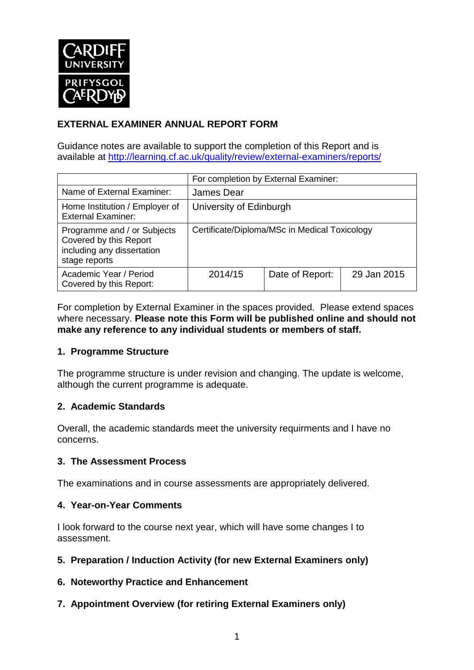

# **EXTERNAL EXAMINER ANNUAL REPORT FORM**

Guidance notes are available to support the completion of this Report and is available at <http://learning.cf.ac.uk/quality/review/external-examiners/reports/>

|                                                                                                      | For completion by External Examiner:          |                 |             |  |
|------------------------------------------------------------------------------------------------------|-----------------------------------------------|-----------------|-------------|--|
| Name of External Examiner:                                                                           | James Dear                                    |                 |             |  |
| Home Institution / Employer of<br><b>External Examiner:</b>                                          | University of Edinburgh                       |                 |             |  |
| Programme and / or Subjects<br>Covered by this Report<br>including any dissertation<br>stage reports | Certificate/Diploma/MSc in Medical Toxicology |                 |             |  |
| Academic Year / Period<br>Covered by this Report:                                                    | 2014/15                                       | Date of Report: | 29 Jan 2015 |  |

For completion by External Examiner in the spaces provided. Please extend spaces where necessary. **Please note this Form will be published online and should not make any reference to any individual students or members of staff.**

#### **1. Programme Structure**

The programme structure is under revision and changing. The update is welcome, although the current programme is adequate.

## **2. Academic Standards**

Overall, the academic standards meet the university requirments and I have no concerns.

#### **3. The Assessment Process**

The examinations and in course assessments are appropriately delivered.

#### **4. Year-on-Year Comments**

I look forward to the course next year, which will have some changes I to assessment.

- **5. Preparation / Induction Activity (for new External Examiners only)**
- **6. Noteworthy Practice and Enhancement**
- **7. Appointment Overview (for retiring External Examiners only)**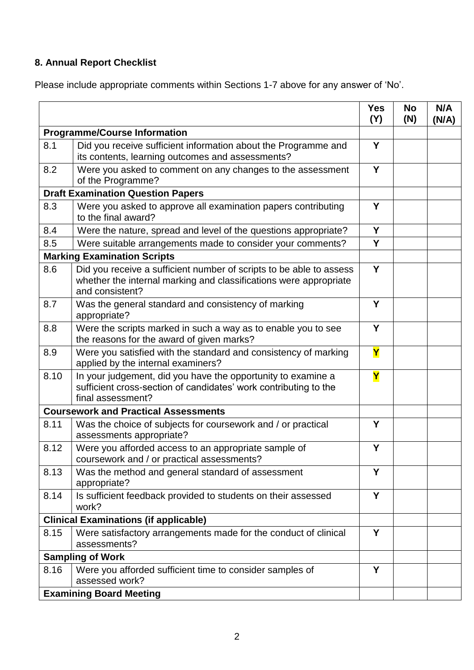# **8. Annual Report Checklist**

Please include appropriate comments within Sections 1-7 above for any answer of 'No'.

|                                              |                                                                                                                                                             | <b>Yes</b><br>(Y) | <b>No</b><br>(N) | N/A<br>(N/A) |
|----------------------------------------------|-------------------------------------------------------------------------------------------------------------------------------------------------------------|-------------------|------------------|--------------|
| <b>Programme/Course Information</b>          |                                                                                                                                                             |                   |                  |              |
| 8.1                                          | Did you receive sufficient information about the Programme and<br>its contents, learning outcomes and assessments?                                          |                   |                  |              |
| 8.2                                          | Were you asked to comment on any changes to the assessment<br>of the Programme?                                                                             | Y                 |                  |              |
| <b>Draft Examination Question Papers</b>     |                                                                                                                                                             |                   |                  |              |
| 8.3                                          | Were you asked to approve all examination papers contributing<br>to the final award?                                                                        |                   |                  |              |
| 8.4                                          | Were the nature, spread and level of the questions appropriate?                                                                                             | Y                 |                  |              |
| 8.5                                          | Were suitable arrangements made to consider your comments?                                                                                                  | Y                 |                  |              |
|                                              | <b>Marking Examination Scripts</b>                                                                                                                          |                   |                  |              |
| 8.6                                          | Did you receive a sufficient number of scripts to be able to assess<br>whether the internal marking and classifications were appropriate<br>and consistent? | Y                 |                  |              |
| 8.7                                          | Was the general standard and consistency of marking<br>appropriate?                                                                                         | Y                 |                  |              |
| 8.8                                          | Were the scripts marked in such a way as to enable you to see<br>the reasons for the award of given marks?                                                  | Y                 |                  |              |
| 8.9                                          | Were you satisfied with the standard and consistency of marking<br>applied by the internal examiners?                                                       | Y                 |                  |              |
| 8.10                                         | In your judgement, did you have the opportunity to examine a<br>sufficient cross-section of candidates' work contributing to the<br>final assessment?       | Y                 |                  |              |
|                                              | <b>Coursework and Practical Assessments</b>                                                                                                                 |                   |                  |              |
| 8.11                                         | Was the choice of subjects for coursework and / or practical<br>assessments appropriate?                                                                    | Y                 |                  |              |
| 8.12                                         | Were you afforded access to an appropriate sample of<br>coursework and / or practical assessments?                                                          | Y                 |                  |              |
| 8.13                                         | Was the method and general standard of assessment<br>appropriate?                                                                                           | Y                 |                  |              |
| 8.14                                         | Is sufficient feedback provided to students on their assessed<br>work?                                                                                      | Y                 |                  |              |
| <b>Clinical Examinations (if applicable)</b> |                                                                                                                                                             |                   |                  |              |
| 8.15                                         | Were satisfactory arrangements made for the conduct of clinical<br>assessments?                                                                             | Y                 |                  |              |
| <b>Sampling of Work</b>                      |                                                                                                                                                             |                   |                  |              |
| 8.16                                         | Were you afforded sufficient time to consider samples of<br>assessed work?                                                                                  | Y                 |                  |              |
|                                              | <b>Examining Board Meeting</b>                                                                                                                              |                   |                  |              |